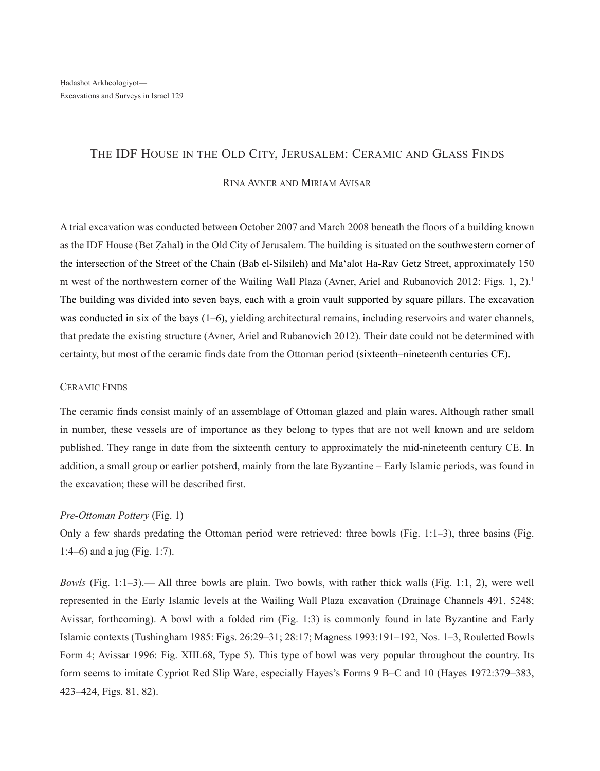# The IDF House in the Old City, Jerusalem: Ceramic and Glass Finds

# Rina Avner and Miriam Avisar

A trial excavation was conducted between October 2007 and March 2008 beneath the floors of a building known as the IDF House (Bet Zahal) in the Old City of Jerusalem. The building is situated on the southwestern corner of the intersection of the Street of the Chain (Bab el-Silsileh) and Ma'alot Ha-Rav Getz Street, approximately 150 m west of the northwestern corner of the Wailing Wall Plaza (Avner, Ariel and Rubanovich 2012: Figs. 1, 2).<sup>1</sup> The building was divided into seven bays, each with a groin vault supported by square pillars. The excavation was conducted in six of the bays (1–6), yielding architectural remains, including reservoirs and water channels, that predate the existing structure (Avner, Ariel and Rubanovich 2012). Their date could not be determined with certainty, but most of the ceramic finds date from the Ottoman period (sixteenth–nineteenth centuries CE).

# Ceramic Finds

The ceramic finds consist mainly of an assemblage of Ottoman glazed and plain wares. Although rather small in number, these vessels are of importance as they belong to types that are not well known and are seldom published. They range in date from the sixteenth century to approximately the mid-nineteenth century CE. In addition, a small group or earlier potsherd, mainly from the late Byzantine – Early Islamic periods, was found in the excavation; these will be described first.

# *Pre-Ottoman Pottery* (Fig. 1)

Only a few shards predating the Ottoman period were retrieved: three bowls (Fig. 1:1–3), three basins (Fig. 1:4–6) and a jug (Fig. 1:7).

*Bowls* (Fig. 1:1–3).— All three bowls are plain. Two bowls, with rather thick walls (Fig. 1:1, 2), were well represented in the Early Islamic levels at the Wailing Wall Plaza excavation (Drainage Channels 491, 5248; Avissar, forthcoming). A bowl with a folded rim (Fig. 1:3) is commonly found in late Byzantine and Early Islamic contexts (Tushingham 1985: Figs. 26:29–31; 28:17; Magness 1993:191–192, Nos. 1–3, Rouletted Bowls Form 4; Avissar 1996: Fig. XIII.68, Type 5). This type of bowl was very popular throughout the country. Its form seems to imitate Cypriot Red Slip Ware, especially Hayes's Forms 9 B–C and 10 (Hayes 1972:379–383, 423–424, Figs. 81, 82).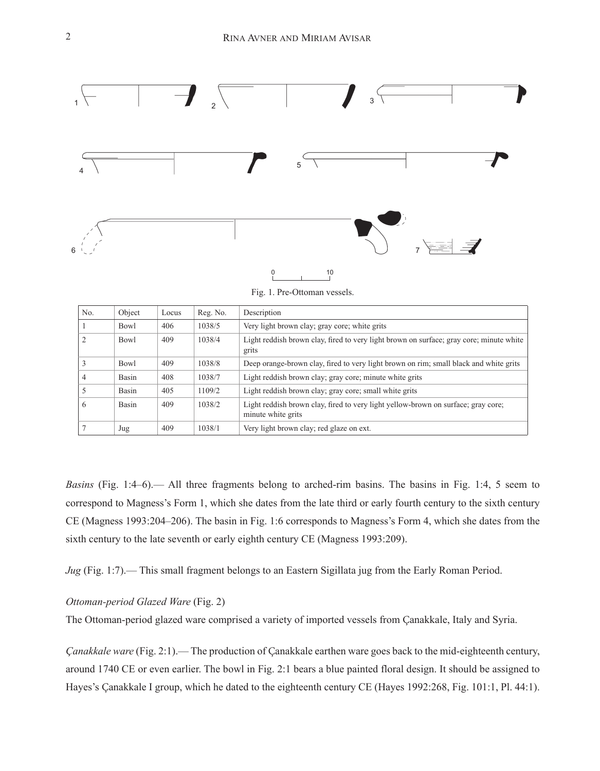

Fig. 1. Pre-Ottoman vessels.

| No.            | Object | Locus | Reg. No. | Description                                                                                             |
|----------------|--------|-------|----------|---------------------------------------------------------------------------------------------------------|
|                | Bowl   | 406   | 1038/5   | Very light brown clay; gray core; white grits                                                           |
| $\mathcal{L}$  | Bowl   | 409   | 1038/4   | Light reddish brown clay, fired to very light brown on surface; gray core; minute white<br>grits        |
| 3              | Bowl   | 409   | 1038/8   | Deep orange-brown clay, fired to very light brown on rim; small black and white grits                   |
| $\overline{4}$ | Basin  | 408   | 1038/7   | Light reddish brown clay; gray core; minute white grits                                                 |
|                | Basin  | 405   | 1109/2   | Light reddish brown clay; gray core; small white grits                                                  |
| 6              | Basin  | 409   | 1038/2   | Light reddish brown clay, fired to very light yellow-brown on surface; gray core;<br>minute white grits |
|                | Jug    | 409   | 1038/1   | Very light brown clay; red glaze on ext.                                                                |

*Basins* (Fig. 1:4–6).— All three fragments belong to arched-rim basins. The basins in Fig. 1:4, 5 seem to correspond to Magness's Form 1, which she dates from the late third or early fourth century to the sixth century CE (Magness 1993:204–206). The basin in Fig. 1:6 corresponds to Magness's Form 4, which she dates from the sixth century to the late seventh or early eighth century CE (Magness 1993:209).

*Jug* (Fig. 1:7).— This small fragment belongs to an Eastern Sigillata jug from the Early Roman Period.

## *Ottoman-period Glazed Ware* (Fig. 2)

The Ottoman-period glazed ware comprised a variety of imported vessels from Çanakkale, Italy and Syria.

*Çanakkale ware* (Fig. 2:1).— The production of Çanakkale earthen ware goes back to the mid-eighteenth century, around 1740 CE or even earlier. The bowl in Fig. 2:1 bears a blue painted floral design. It should be assigned to Hayes's Çanakkale I group, which he dated to the eighteenth century CE (Hayes 1992:268, Fig. 101:1, Pl. 44:1).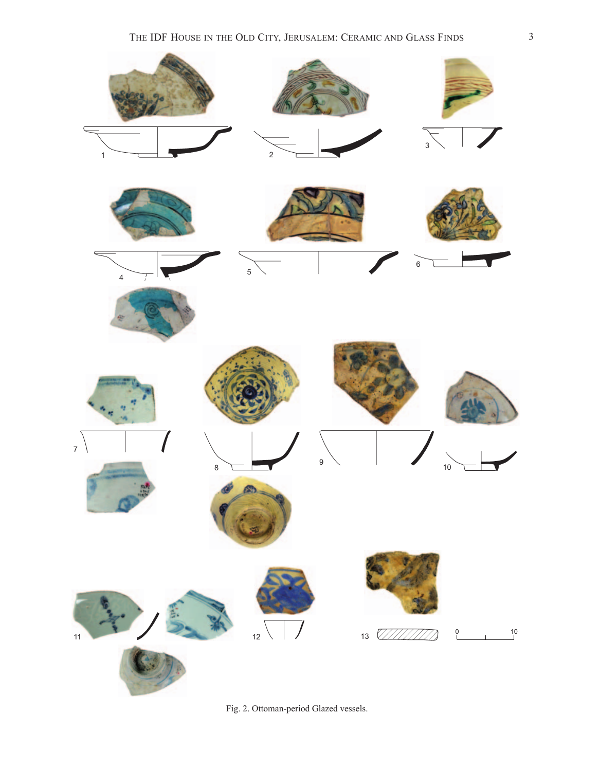

Fig. 2. Ottoman-period Glazed vessels.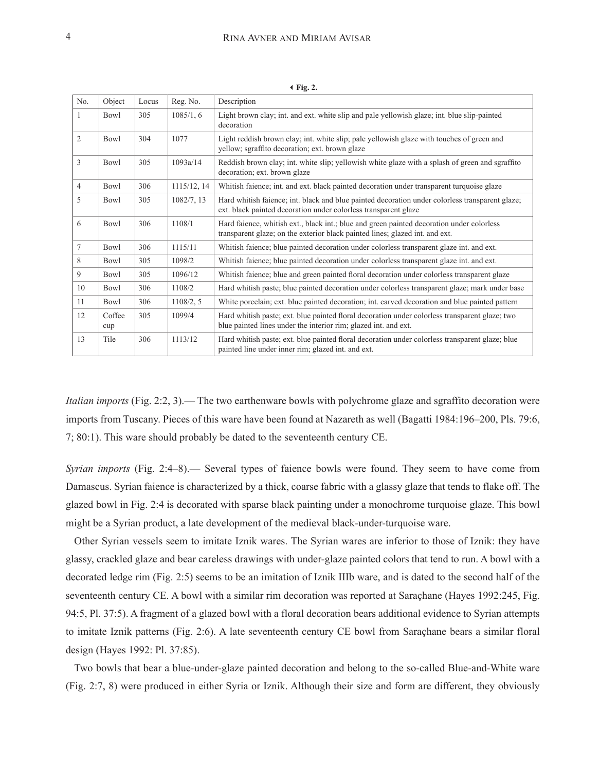| No.             | Object        | Locus | Reg. No.    | Description                                                                                                                                                               |
|-----------------|---------------|-------|-------------|---------------------------------------------------------------------------------------------------------------------------------------------------------------------------|
| -1              | Bowl          | 305   | 1085/1, 6   | Light brown clay; int. and ext. white slip and pale yellowish glaze; int. blue slip-painted<br>decoration                                                                 |
| 2               | <b>Bowl</b>   | 304   | 1077        | Light reddish brown clay; int. white slip; pale yellowish glaze with touches of green and<br>yellow; sgraffito decoration; ext. brown glaze                               |
| $\overline{3}$  | Bowl          | 305   | 1093a/14    | Reddish brown clay; int. white slip; yellowish white glaze with a splash of green and sgraffito<br>decoration; ext. brown glaze                                           |
| $\overline{4}$  | Bowl          | 306   | 1115/12, 14 | Whitish faience; int. and ext. black painted decoration under transparent turquoise glaze                                                                                 |
| 5               | Bowl          | 305   | 1082/7, 13  | Hard whitish faience; int. black and blue painted decoration under colorless transparent glaze;<br>ext. black painted decoration under colorless transparent glaze        |
| 6               | Bowl          | 306   | 1108/1      | Hard faience, whitish ext., black int.; blue and green painted decoration under colorless<br>transparent glaze; on the exterior black painted lines; glazed int. and ext. |
| $7\phantom{.0}$ | Bowl          | 306   | 1115/11     | Whitish faience; blue painted decoration under colorless transparent glaze int. and ext.                                                                                  |
| 8               | Bowl          | 305   | 1098/2      | Whitish faience; blue painted decoration under colorless transparent glaze int. and ext.                                                                                  |
| 9               | Bowl          | 305   | 1096/12     | Whitish faience; blue and green painted floral decoration under colorless transparent glaze                                                                               |
| 10              | Bowl          | 306   | 1108/2      | Hard whitish paste; blue painted decoration under colorless transparent glaze; mark under base                                                                            |
| 11              | Bowl          | 306   | 1108/2, 5   | White porcelain; ext. blue painted decoration; int. carved decoration and blue painted pattern                                                                            |
| 12              | Coffee<br>cup | 305   | 1099/4      | Hard whitish paste; ext. blue painted floral decoration under colorless transparent glaze; two<br>blue painted lines under the interior rim; glazed int. and ext.         |
| 13              | Tile          | 306   | 1113/12     | Hard whitish paste; ext. blue painted floral decoration under colorless transparent glaze; blue<br>painted line under inner rim; glazed int. and ext.                     |

3**Fig. 2.**

*Italian imports* (Fig. 2:2, 3).— The two earthenware bowls with polychrome glaze and sgraffito decoration were imports from Tuscany. Pieces of this ware have been found at Nazareth as well (Bagatti 1984:196–200, Pls. 79:6, 7; 80:1). This ware should probably be dated to the seventeenth century CE.

*Syrian imports* (Fig. 2:4–8).— Several types of faience bowls were found. They seem to have come from Damascus. Syrian faience is characterized by a thick, coarse fabric with a glassy glaze that tends to flake off. The glazed bowl in Fig. 2:4 is decorated with sparse black painting under a monochrome turquoise glaze. This bowl might be a Syrian product, a late development of the medieval black-under-turquoise ware.

Other Syrian vessels seem to imitate Iznik wares. The Syrian wares are inferior to those of Iznik: they have glassy, crackled glaze and bear careless drawings with under-glaze painted colors that tend to run. A bowl with a decorated ledge rim (Fig. 2:5) seems to be an imitation of Iznik IIIb ware, and is dated to the second half of the seventeenth century CE. A bowl with a similar rim decoration was reported at Saraçhane (Hayes 1992:245, Fig. 94:5, Pl. 37:5). A fragment of a glazed bowl with a floral decoration bears additional evidence to Syrian attempts to imitate Iznik patterns (Fig. 2:6). A late seventeenth century CE bowl from Saraçhane bears a similar floral design (Hayes 1992: Pl. 37:85).

Two bowls that bear a blue-under-glaze painted decoration and belong to the so-called Blue-and-White ware (Fig. 2:7, 8) were produced in either Syria or Iznik. Although their size and form are different, they obviously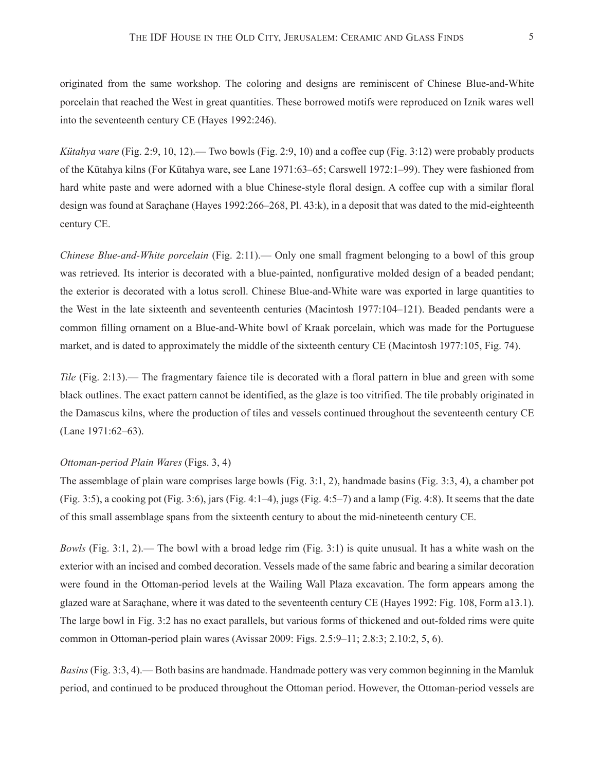originated from the same workshop. The coloring and designs are reminiscent of Chinese Blue-and-White porcelain that reached the West in great quantities. These borrowed motifs were reproduced on Iznik wares well into the seventeenth century CE (Hayes 1992:246).

*Kütahya ware* (Fig. 2:9, 10, 12).— Two bowls (Fig. 2:9, 10) and a coffee cup (Fig. 3:12) were probably products of the Kütahya kilns (For Kütahya ware, see Lane 1971:63–65; Carswell 1972:1–99). They were fashioned from hard white paste and were adorned with a blue Chinese-style floral design. A coffee cup with a similar floral design was found at Saraçhane (Hayes 1992:266–268, Pl. 43:k), in a deposit that was dated to the mid-eighteenth century CE.

*Chinese Blue-and-White porcelain* (Fig. 2:11).— Only one small fragment belonging to a bowl of this group was retrieved. Its interior is decorated with a blue-painted, nonfigurative molded design of a beaded pendant; the exterior is decorated with a lotus scroll. Chinese Blue-and-White ware was exported in large quantities to the West in the late sixteenth and seventeenth centuries (Macintosh 1977:104–121). Beaded pendants were a common filling ornament on a Blue-and-White bowl of Kraak porcelain, which was made for the Portuguese market, and is dated to approximately the middle of the sixteenth century CE (Macintosh 1977:105, Fig. 74).

*Tile* (Fig. 2:13).— The fragmentary faience tile is decorated with a floral pattern in blue and green with some black outlines. The exact pattern cannot be identified, as the glaze is too vitrified. The tile probably originated in the Damascus kilns, where the production of tiles and vessels continued throughout the seventeenth century CE (Lane 1971:62–63).

## *Ottoman-period Plain Wares* (Figs. 3, 4)

The assemblage of plain ware comprises large bowls (Fig. 3:1, 2), handmade basins (Fig. 3:3, 4), a chamber pot  $(Fig. 3:5)$ , a cooking pot  $(Fig. 3:6)$ , jars  $(Fig. 4:1-4)$ , jugs  $(Fig. 4:5-7)$  and a lamp  $(Fig. 4:8)$ . It seems that the date of this small assemblage spans from the sixteenth century to about the mid-nineteenth century CE.

*Bowls* (Fig. 3:1, 2).— The bowl with a broad ledge rim (Fig. 3:1) is quite unusual. It has a white wash on the exterior with an incised and combed decoration. Vessels made of the same fabric and bearing a similar decoration were found in the Ottoman-period levels at the Wailing Wall Plaza excavation. The form appears among the glazed ware at Saraçhane, where it was dated to the seventeenth century CE (Hayes 1992: Fig. 108, Form a13.1). The large bowl in Fig. 3:2 has no exact parallels, but various forms of thickened and out-folded rims were quite common in Ottoman-period plain wares (Avissar 2009: Figs. 2.5:9–11; 2.8:3; 2.10:2, 5, 6).

*Basins* (Fig. 3:3, 4).— Both basins are handmade. Handmade pottery was very common beginning in the Mamluk period, and continued to be produced throughout the Ottoman period. However, the Ottoman-period vessels are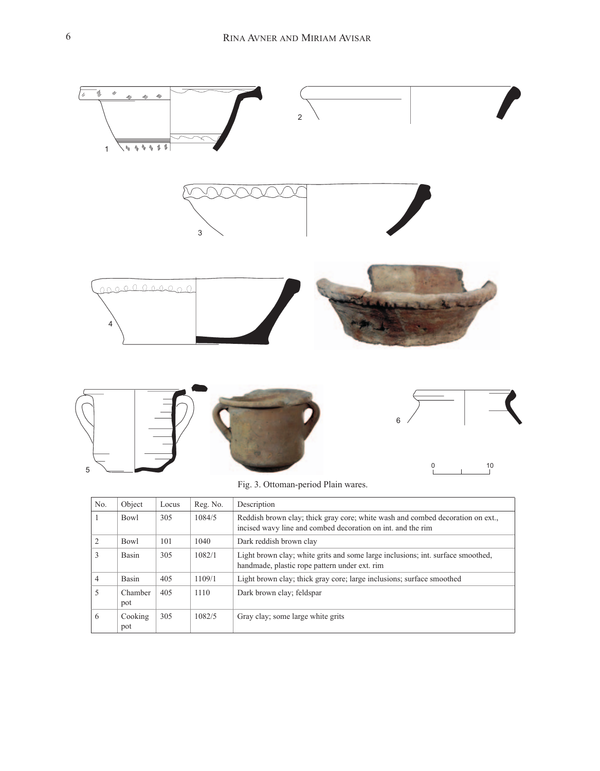

Fig. 3. Ottoman-period Plain wares.

| No.            | Object         | Locus | Reg. No. | Description                                                                                                                                   |
|----------------|----------------|-------|----------|-----------------------------------------------------------------------------------------------------------------------------------------------|
|                | Bowl           | 305   | 1084/5   | Reddish brown clay; thick gray core; white wash and combed decoration on ext.,<br>incised wavy line and combed decoration on int. and the rim |
| $\overline{2}$ | <b>Bowl</b>    | 101   | 1040     | Dark reddish brown clay                                                                                                                       |
| 3              | <b>Basin</b>   | 305   | 1082/1   | Light brown clay; white grits and some large inclusions; int. surface smoothed,<br>handmade, plastic rope pattern under ext. rim              |
| 4              | <b>Basin</b>   | 405   | 1109/1   | Light brown clay; thick gray core; large inclusions; surface smoothed                                                                         |
| 5              | Chamber<br>pot | 405   | 1110     | Dark brown clay; feldspar                                                                                                                     |
| 6              | Cooking<br>pot | 305   | 1082/5   | Gray clay; some large white grits                                                                                                             |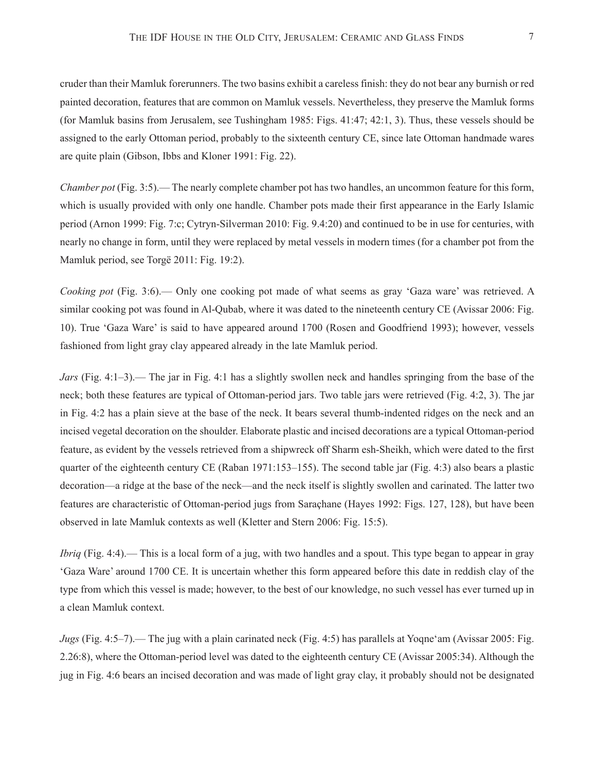cruder than their Mamluk forerunners. The two basins exhibit a careless finish: they do not bear any burnish or red painted decoration, features that are common on Mamluk vessels. Nevertheless, they preserve the Mamluk forms (for Mamluk basins from Jerusalem, see Tushingham 1985: Figs. 41:47; 42:1, 3). Thus, these vessels should be assigned to the early Ottoman period, probably to the sixteenth century CE, since late Ottoman handmade wares are quite plain (Gibson, Ibbs and Kloner 1991: Fig. 22).

*Chamber pot* (Fig. 3:5).— The nearly complete chamber pot has two handles, an uncommon feature for this form, which is usually provided with only one handle. Chamber pots made their first appearance in the Early Islamic period (Arnon 1999: Fig. 7:c; Cytryn-Silverman 2010: Fig. 9.4:20) and continued to be in use for centuries, with nearly no change in form, until they were replaced by metal vessels in modern times (for a chamber pot from the Mamluk period, see Torgë 2011: Fig. 19:2).

*Cooking pot* (Fig. 3:6).— Only one cooking pot made of what seems as gray 'Gaza ware' was retrieved. A similar cooking pot was found in Al-Qubab, where it was dated to the nineteenth century CE (Avissar 2006: Fig. 10). True 'Gaza Ware' is said to have appeared around 1700 (Rosen and Goodfriend 1993); however, vessels fashioned from light gray clay appeared already in the late Mamluk period.

*Jars* (Fig. 4:1–3).— The jar in Fig. 4:1 has a slightly swollen neck and handles springing from the base of the neck; both these features are typical of Ottoman-period jars. Two table jars were retrieved (Fig. 4:2, 3). The jar in Fig. 4:2 has a plain sieve at the base of the neck. It bears several thumb-indented ridges on the neck and an incised vegetal decoration on the shoulder. Elaborate plastic and incised decorations are a typical Ottoman-period feature, as evident by the vessels retrieved from a shipwreck off Sharm esh-Sheikh, which were dated to the first quarter of the eighteenth century CE (Raban 1971:153–155). The second table jar (Fig. 4:3) also bears a plastic decoration—a ridge at the base of the neck—and the neck itself is slightly swollen and carinated. The latter two features are characteristic of Ottoman-period jugs from Saraçhane (Hayes 1992: Figs. 127, 128), but have been observed in late Mamluk contexts as well (Kletter and Stern 2006: Fig. 15:5).

*Ibriq* (Fig. 4:4).— This is a local form of a jug, with two handles and a spout. This type began to appear in gray 'Gaza Ware' around 1700 CE. It is uncertain whether this form appeared before this date in reddish clay of the type from which this vessel is made; however, to the best of our knowledge, no such vessel has ever turned up in a clean Mamluk context.

*Jugs* (Fig. 4:5–7).— The jug with a plain carinated neck (Fig. 4:5) has parallels at Yoqne'am (Avissar 2005: Fig. 2.26:8), where the Ottoman-period level was dated to the eighteenth century CE (Avissar 2005:34). Although the jug in Fig. 4:6 bears an incised decoration and was made of light gray clay, it probably should not be designated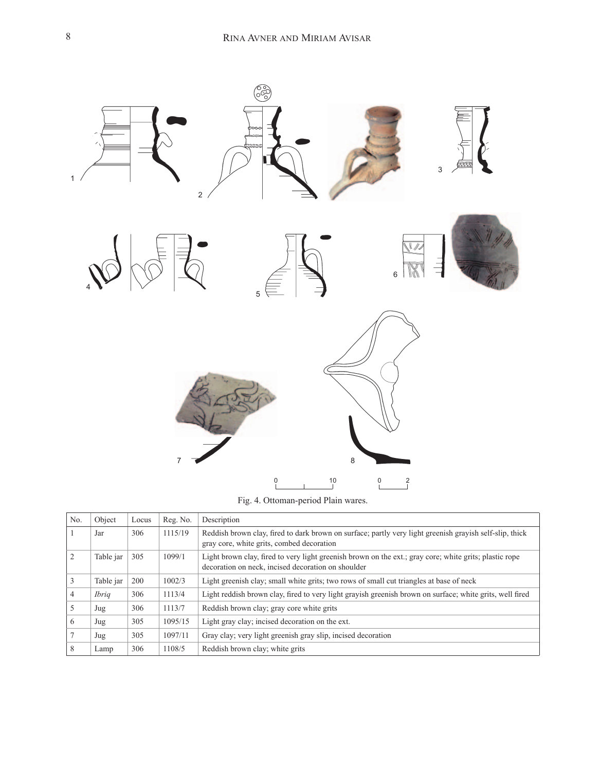

Fig. 4. Ottoman-period Plain wares.

| No.            | Object       | Locus | Reg. No. | Description                                                                                                                                                  |  |
|----------------|--------------|-------|----------|--------------------------------------------------------------------------------------------------------------------------------------------------------------|--|
|                | Jar          | 306   | 1115/19  | Reddish brown clay, fired to dark brown on surface; partly very light greenish grayish self-slip, thick<br>gray core, white grits, combed decoration         |  |
|                | Table jar    | 305   | 1099/1   | Light brown clay, fired to very light greenish brown on the ext.; gray core; white grits; plastic rope<br>decoration on neck, incised decoration on shoulder |  |
|                | Table jar    | 200   | 1002/3   | Light greenish clay; small white grits; two rows of small cut triangles at base of neck                                                                      |  |
| $\overline{4}$ | <i>Ibrig</i> | 306   | 1113/4   | Light reddish brown clay, fired to very light grayish greenish brown on surface; white grits, well fired                                                     |  |
|                | Jug          | 306   | 1113/7   | Reddish brown clay; gray core white grits                                                                                                                    |  |
| 6              | Jug          | 305   | 1095/15  | Light gray clay; incised decoration on the ext.                                                                                                              |  |
|                | Jug          | 305   | 1097/11  | Gray clay; very light greenish gray slip, incised decoration                                                                                                 |  |
| 8              | Lamp         | 306   | 1108/5   | Reddish brown clay; white grits                                                                                                                              |  |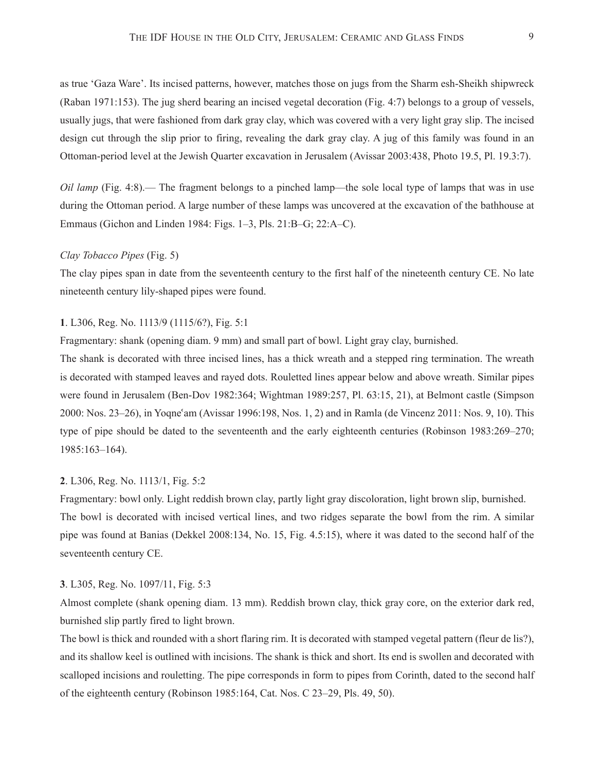as true 'Gaza Ware'. Its incised patterns, however, matches those on jugs from the Sharm esh-Sheikh shipwreck (Raban 1971:153). The jug sherd bearing an incised vegetal decoration (Fig. 4:7) belongs to a group of vessels, usually jugs, that were fashioned from dark gray clay, which was covered with a very light gray slip. The incised design cut through the slip prior to firing, revealing the dark gray clay. A jug of this family was found in an Ottoman-period level at the Jewish Quarter excavation in Jerusalem (Avissar 2003:438, Photo 19.5, Pl. 19.3:7).

*Oil lamp* (Fig. 4:8).— The fragment belongs to a pinched lamp—the sole local type of lamps that was in use during the Ottoman period. A large number of these lamps was uncovered at the excavation of the bathhouse at Emmaus (Gichon and Linden 1984: Figs. 1–3, Pls. 21:B–G; 22:A–C).

## *Clay Tobacco Pipes* (Fig. 5)

The clay pipes span in date from the seventeenth century to the first half of the nineteenth century CE. No late nineteenth century lily-shaped pipes were found.

# **1**. L306, Reg. No. 1113/9 (1115/6?), Fig. 5:1

Fragmentary: shank (opening diam. 9 mm) and small part of bowl. Light gray clay, burnished.

The shank is decorated with three incised lines, has a thick wreath and a stepped ring termination. The wreath is decorated with stamped leaves and rayed dots. Rouletted lines appear below and above wreath. Similar pipes were found in Jerusalem (Ben-Dov 1982:364; Wightman 1989:257, Pl. 63:15, 21), at Belmont castle (Simpson 2000: Nos. 23–26), in Yoqneʿam (Avissar 1996:198, Nos. 1, 2) and in Ramla (de Vincenz 2011: Nos. 9, 10). This type of pipe should be dated to the seventeenth and the early eighteenth centuries (Robinson 1983:269–270; 1985:163–164).

### **2**. L306, Reg. No. 1113/1, Fig. 5:2

Fragmentary: bowl only. Light reddish brown clay, partly light gray discoloration, light brown slip, burnished. The bowl is decorated with incised vertical lines, and two ridges separate the bowl from the rim. A similar pipe was found at Banias (Dekkel 2008:134, No. 15, Fig. 4.5:15), where it was dated to the second half of the seventeenth century CE.

#### **3**. L305, Reg. No. 1097/11, Fig. 5:3

Almost complete (shank opening diam. 13 mm). Reddish brown clay, thick gray core, on the exterior dark red, burnished slip partly fired to light brown.

The bowl is thick and rounded with a short flaring rim. It is decorated with stamped vegetal pattern (fleur de lis?), and its shallow keel is outlined with incisions. The shank is thick and short. Its end is swollen and decorated with scalloped incisions and rouletting. The pipe corresponds in form to pipes from Corinth, dated to the second half of the eighteenth century (Robinson 1985:164, Cat. Nos. C 23–29, Pls. 49, 50).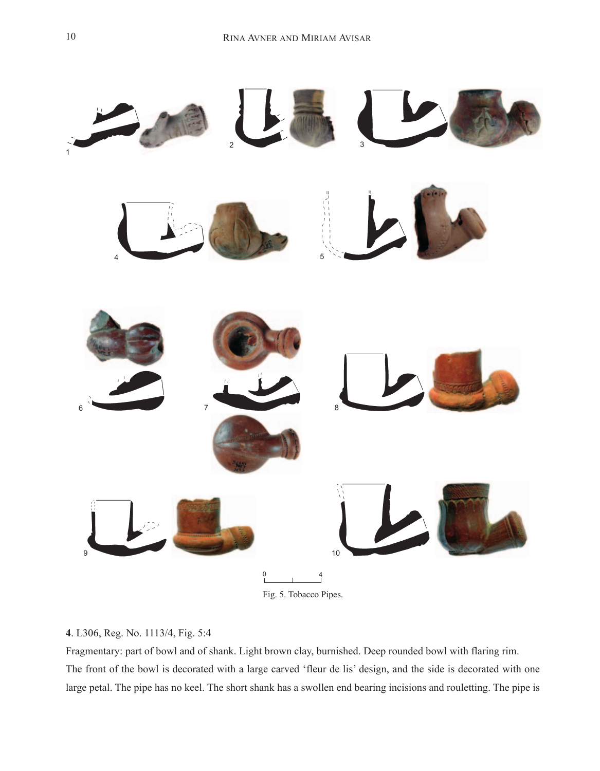

# . L306, Reg. No. 1113/4, Fig. 5:4

Fragmentary: part of bowl and of shank. Light brown clay, burnished. Deep rounded bowl with flaring rim. The front of the bowl is decorated with a large carved 'fleur de lis' design, and the side is decorated with one large petal. The pipe has no keel. The short shank has a swollen end bearing incisions and rouletting. The pipe is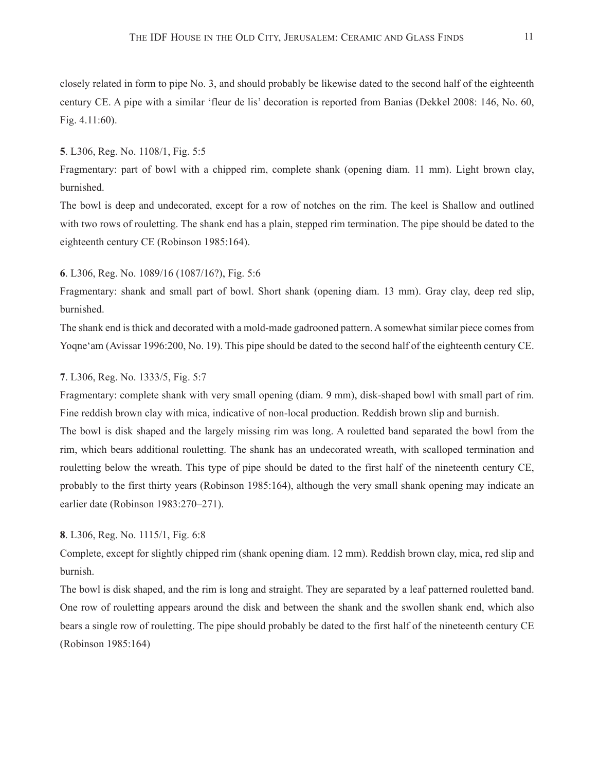closely related in form to pipe No. 3, and should probably be likewise dated to the second half of the eighteenth century CE. A pipe with a similar 'fleur de lis' decoration is reported from Banias (Dekkel 2008: 146, No. 60, Fig. 4.11:60).

### **5**. L306, Reg. No. 1108/1, Fig. 5:5

Fragmentary: part of bowl with a chipped rim, complete shank (opening diam. 11 mm). Light brown clay, burnished.

The bowl is deep and undecorated, except for a row of notches on the rim. The keel is Shallow and outlined with two rows of rouletting. The shank end has a plain, stepped rim termination. The pipe should be dated to the eighteenth century CE (Robinson 1985:164).

# **6**. L306, Reg. No. 1089/16 (1087/16?), Fig. 5:6

Fragmentary: shank and small part of bowl. Short shank (opening diam. 13 mm). Gray clay, deep red slip, burnished.

The shank end is thick and decorated with a mold-made gadrooned pattern. A somewhat similar piece comes from Yoqne'am (Avissar 1996:200, No. 19). This pipe should be dated to the second half of the eighteenth century CE.

# **7**. L306, Reg. No. 1333/5, Fig. 5:7

Fragmentary: complete shank with very small opening (diam. 9 mm), disk-shaped bowl with small part of rim. Fine reddish brown clay with mica, indicative of non-local production. Reddish brown slip and burnish.

The bowl is disk shaped and the largely missing rim was long. A rouletted band separated the bowl from the rim, which bears additional rouletting. The shank has an undecorated wreath, with scalloped termination and rouletting below the wreath. This type of pipe should be dated to the first half of the nineteenth century CE, probably to the first thirty years (Robinson 1985:164), although the very small shank opening may indicate an earlier date (Robinson 1983:270–271).

# **8**. L306, Reg. No. 1115/1, Fig. 6:8

Complete, except for slightly chipped rim (shank opening diam. 12 mm). Reddish brown clay, mica, red slip and burnish.

The bowl is disk shaped, and the rim is long and straight. They are separated by a leaf patterned rouletted band. One row of rouletting appears around the disk and between the shank and the swollen shank end, which also bears a single row of rouletting. The pipe should probably be dated to the first half of the nineteenth century CE (Robinson 1985:164)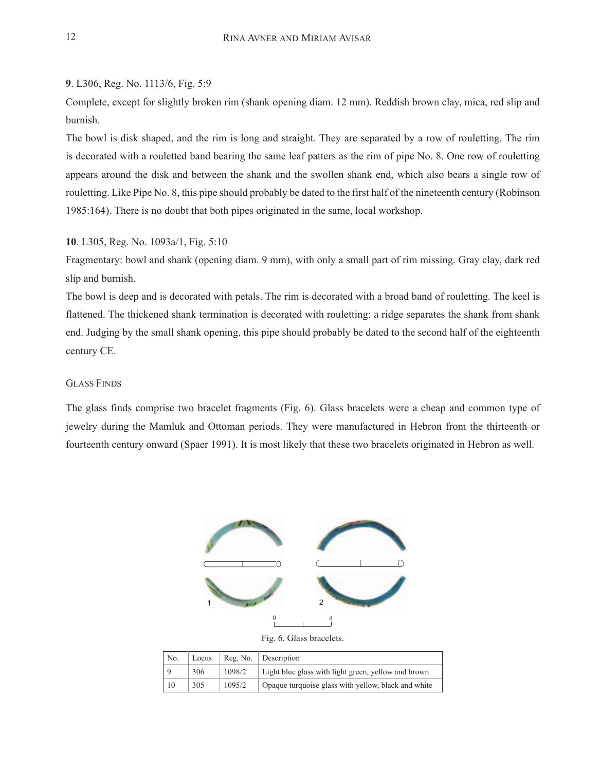# **9**. L306, Reg. No. 1113/6, Fig. 5:9

Complete, except for slightly broken rim (shank opening diam. 12 mm). Reddish brown clay, mica, red slip and burnish.

The bowl is disk shaped, and the rim is long and straight. They are separated by a row of rouletting. The rim is decorated with a rouletted band bearing the same leaf patters as the rim of pipe No. 8. One row of rouletting appears around the disk and between the shank and the swollen shank end, which also bears a single row of rouletting. Like Pipe No. 8, this pipe should probably be dated to the first half of the nineteenth century (Robinson 1985:164). There is no doubt that both pipes originated in the same, local workshop.

# **10**. L305, Reg. No. 1093a/1, Fig. 5:10

Fragmentary: bowl and shank (opening diam. 9 mm), with only a small part of rim missing. Gray clay, dark red slip and burnish.

The bowl is deep and is decorated with petals. The rim is decorated with a broad band of rouletting. The keel is flattened. The thickened shank termination is decorated with rouletting; a ridge separates the shank from shank end. Judging by the small shank opening, this pipe should probably be dated to the second half of the eighteenth century CE.

# Glass Finds

The glass finds comprise two bracelet fragments (Fig. 6). Glass bracelets were a cheap and common type of jewelry during the Mamluk and Ottoman periods. They were manufactured in Hebron from the thirteenth or fourteenth century onward (Spaer 1991). It is most likely that these two bracelets originated in Hebron as well.



Fig. 6. Glass bracelets.

| No. | Locus |        | Reg. No.   Description                              |
|-----|-------|--------|-----------------------------------------------------|
|     | 306   | 1098/2 | Light blue glass with light green, yellow and brown |
| 10  | 305   | 1095/2 | Opaque turquoise glass with yellow, black and white |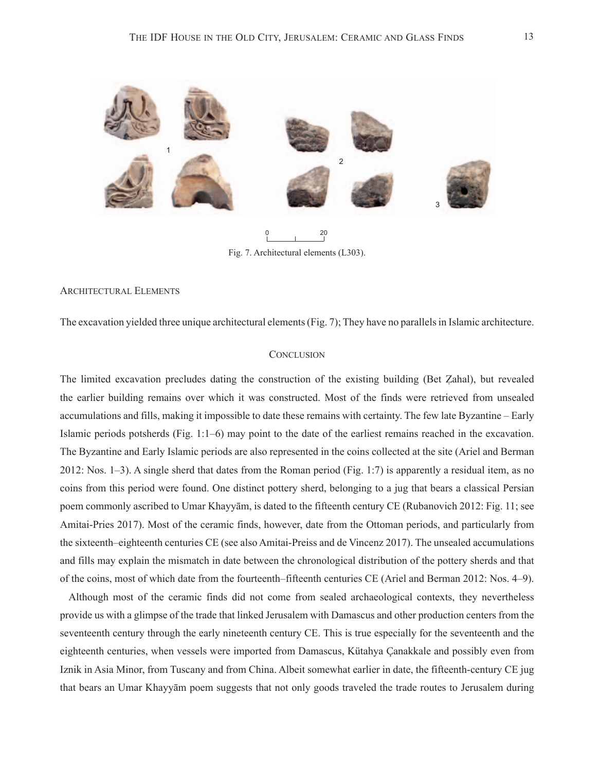

Fig. 7. Architectural elements (L303).

# Architectural Elements

The excavation yielded three unique architectural elements (Fig. 7); They have no parallels in Islamic architecture.

#### **CONCLUSION**

The limited excavation precludes dating the construction of the existing building (Bet Zahal), but revealed the earlier building remains over which it was constructed. Most of the finds were retrieved from unsealed accumulations and fills, making it impossible to date these remains with certainty. The few late Byzantine – Early Islamic periods potsherds (Fig. 1:1–6) may point to the date of the earliest remains reached in the excavation. The Byzantine and Early Islamic periods are also represented in the coins collected at the site (Ariel and Berman 2012: Nos. 1–3). A single sherd that dates from the Roman period (Fig. 1:7) is apparently a residual item, as no coins from this period were found. One distinct pottery sherd, belonging to a jug that bears a classical Persian poem commonly ascribed to Umar Khayyām, is dated to the fifteenth century CE (Rubanovich 2012: Fig. 11; see Amitai-Pries 2017). Most of the ceramic finds, however, date from the Ottoman periods, and particularly from the sixteenth–eighteenth centuries CE (see also Amitai-Preiss and de Vincenz 2017). The unsealed accumulations and fills may explain the mismatch in date between the chronological distribution of the pottery sherds and that of the coins, most of which date from the fourteenth–fifteenth centuries CE (Ariel and Berman 2012: Nos. 4–9).

Although most of the ceramic finds did not come from sealed archaeological contexts, they nevertheless provide us with a glimpse of the trade that linked Jerusalem with Damascus and other production centers from the seventeenth century through the early nineteenth century CE. This is true especially for the seventeenth and the eighteenth centuries, when vessels were imported from Damascus, Kütahya Çanakkale and possibly even from Iznik in Asia Minor, from Tuscany and from China. Albeit somewhat earlier in date, the fifteenth-century CE jug that bears an Umar Khayyām poem suggests that not only goods traveled the trade routes to Jerusalem during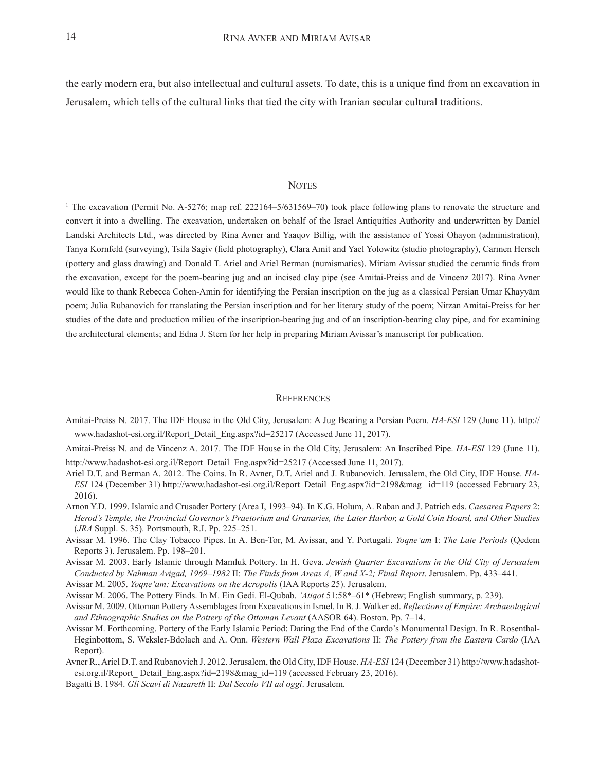the early modern era, but also intellectual and cultural assets. To date, this is a unique find from an excavation in Jerusalem, which tells of the cultural links that tied the city with Iranian secular cultural traditions.

#### **NOTES**

<sup>1</sup> The excavation (Permit No. A-5276; map ref. 222164–5/631569–70) took place following plans to renovate the structure and convert it into a dwelling. The excavation, undertaken on behalf of the Israel Antiquities Authority and underwritten by Daniel Landski Architects Ltd., was directed by Rina Avner and Yaaqov Billig, with the assistance of Yossi Ohayon (administration), Tanya Kornfeld (surveying), Tsila Sagiv (field photography), Clara Amit and Yael Yolowitz (studio photography), Carmen Hersch (pottery and glass drawing) and Donald T. Ariel and Ariel Berman (numismatics). Miriam Avissar studied the ceramic finds from the excavation, except for the poem-bearing jug and an incised clay pipe (see Amitai-Preiss and de Vincenz 2017). Rina Avner would like to thank Rebecca Cohen-Amin for identifying the Persian inscription on the jug as a classical Persian Umar Khayyām poem; Julia Rubanovich for translating the Persian inscription and for her literary study of the poem; Nitzan Amitai-Preiss for her studies of the date and production milieu of the inscription-bearing jug and of an inscription-bearing clay pipe, and for examining the architectural elements; and Edna J. Stern for her help in preparing Miriam Avissar's manuscript for publication.

#### **REFERENCES**

- Amitai-Preiss N. 2017. The IDF House in the Old City, Jerusalem: A Jug Bearing a Persian Poem. *HA-ESI* 129 (June 11). http:// www.hadashot-esi.org.il/Report\_Detail\_Eng.aspx?id=25217 (Accessed June 11, 2017).
- Amitai-Preiss N. and de Vincenz A. 2017. The IDF House in the Old City, Jerusalem: An Inscribed Pipe. *HA-ESI* 129 (June 11). http://www.hadashot-esi.org.il/Report\_Detail\_Eng.aspx?id=25217 (Accessed June 11, 2017).
- Ariel D.T. and Berman A. 2012. The Coins. In R. Avner, D.T. Ariel and J. Rubanovich. Jerusalem, the Old City, IDF House. *HA-ESI* 124 (December 31) [http://www.hadashot-esi.org.il/Report\\_Detail\\_Eng.aspx?id=2198&mag \\_id=119](http://www.hadashot-esi.org.il/Report_Detail_Eng.aspx?id=2198&mag_id=119) (accessed February 23, 2016).
- Arnon Y.D. 1999. Islamic and Crusader Pottery (Area I, 1993–94). In K.G. Holum, A. Raban and J. Patrich eds. *Caesarea Papers* 2: *Herod's Temple, the Provincial Governor's Praetorium and Granaries, the Later Harbor, a Gold Coin Hoard, and Other Studies* (*JRA* Suppl. S. 35). Portsmouth, R.I. Pp. 225–251.
- Avissar M. 1996. The Clay Tobacco Pipes. In A. Ben-Tor, M. Avissar, and Y. Portugali. *Yoqne'am* I: *The Late Periods* (Qedem Reports 3). Jerusalem. Pp. 198–201.
- Avissar M. 2003. Early Islamic through Mamluk Pottery. In H. Geva. *Jewish Quarter Excavations in the Old City of Jerusalem Conducted by Nahman Avigad, 1969–1982* II: *The Finds from Areas A, W and X-2; Final Report*. Jerusalem. Pp. 433–441.
- Avissar M. 2005. *Yoqne'am: Excavations on the Acropolis* (IAA Reports 25). Jerusalem.
- Avissar M. 2006. The Pottery Finds. In M. Ein Gedi. El-Qubab. *'Atiqot* 51:58\*–61\* (Hebrew; English summary, p. 239).
- Avissar M. 2009. Ottoman Pottery Assemblages from Excavations in Israel. In B. J. Walker ed. *Reflections of Empire: Archaeological and Ethnographic Studies on the Pottery of the Ottoman Levant* (AASOR 64). Boston. Pp. 7–14.
- Avissar M. Forthcoming. Pottery of the Early Islamic Period: Dating the End of the Cardo's Monumental Design. In R. Rosenthal-Heginbottom, S. Weksler-Bdolach and A. Onn. *Western Wall Plaza Excavations* II: *The Pottery from the Eastern Cardo* (IAA Report).
- Avner R., Ariel D.T. and Rubanovich J. 2012. Jerusalem, the Old City, IDF House. *HA-ESI* 124 (December 31) [http://www.hadashot](http://www.hadashot-esi.org.il/Report_Detail_Eng.aspx?id=2198&mag_id=119)[esi.org.il/Report\\_ Detail\\_Eng.aspx?id=2198&mag\\_id=119](http://www.hadashot-esi.org.il/Report_Detail_Eng.aspx?id=2198&mag_id=119) (accessed February 23, 2016).
- Bagatti B. 1984. *Gli Scavi di Nazareth* II: *Dal Secolo VII ad oggi*. Jerusalem.